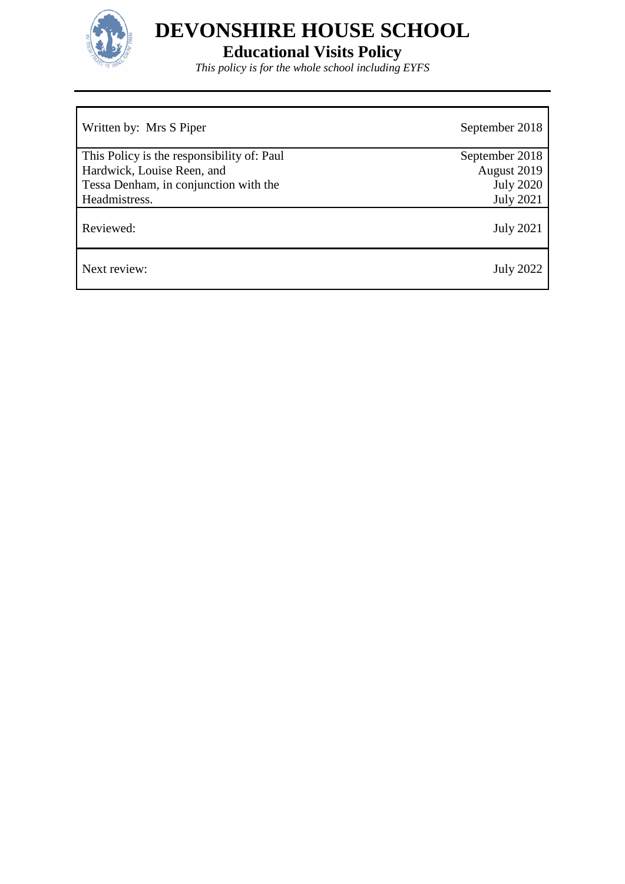

# **Educational Visits Policy**

*This policy is for the whole school including EYFS*

| Written by: Mrs S Piper                    | September 2018   |
|--------------------------------------------|------------------|
| This Policy is the responsibility of: Paul | September 2018   |
| Hardwick, Louise Reen, and                 | August 2019      |
| Tessa Denham, in conjunction with the      | <b>July 2020</b> |
| Headmistress.                              | <b>July 2021</b> |
| Reviewed:                                  | <b>July 2021</b> |
| Next review:                               | July 2022        |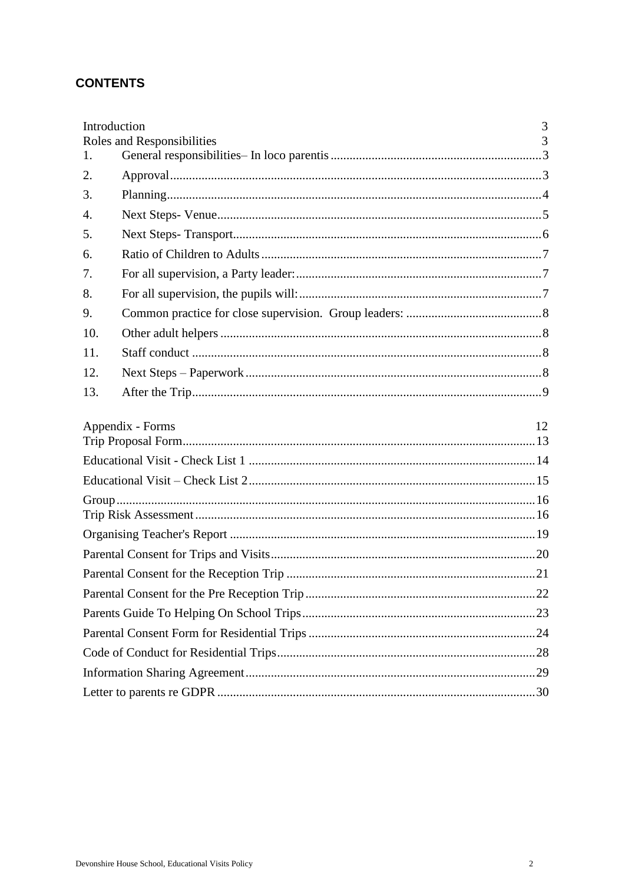## **CONTENTS**

|                  | Introduction               | 3  |
|------------------|----------------------------|----|
|                  | Roles and Responsibilities | 3  |
| 1.               |                            |    |
| 2.               |                            |    |
| 3.               |                            |    |
| $\overline{4}$ . |                            |    |
| 5.               |                            |    |
| 6.               |                            |    |
| 7.               |                            |    |
| 8.               |                            |    |
| 9.               |                            |    |
| 10.              |                            |    |
| 11.              |                            |    |
| 12.              |                            |    |
| 13.              |                            |    |
|                  | Appendix - Forms           | 12 |
|                  |                            |    |
|                  |                            |    |
|                  |                            |    |
|                  |                            |    |
|                  |                            |    |
|                  |                            |    |
|                  |                            |    |
|                  |                            |    |
|                  |                            |    |
|                  |                            |    |
|                  |                            |    |
|                  |                            |    |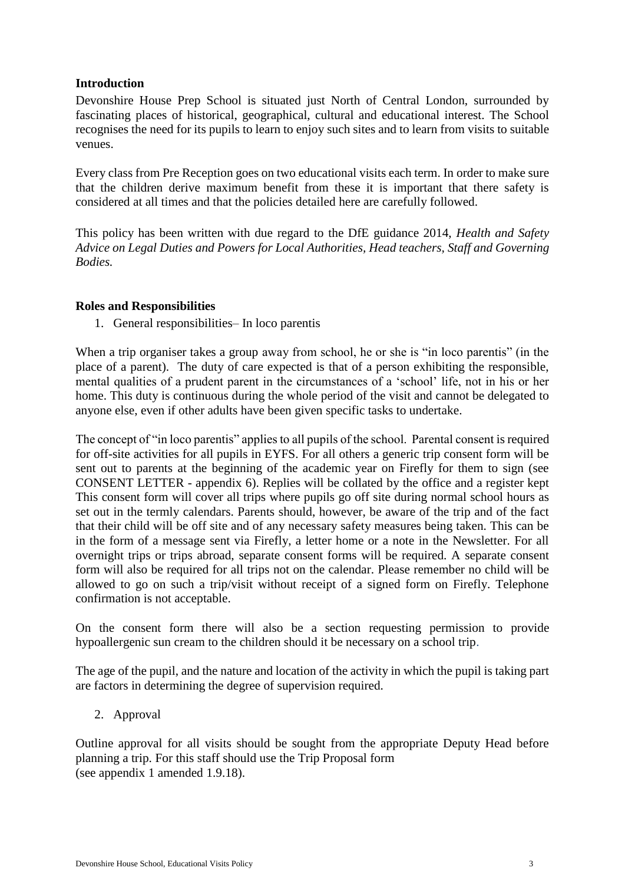## <span id="page-2-0"></span>**Introduction**

Devonshire House Prep School is situated just North of Central London, surrounded by fascinating places of historical, geographical, cultural and educational interest. The School recognises the need for its pupils to learn to enjoy such sites and to learn from visits to suitable venues.

Every class from Pre Reception goes on two educational visits each term. In order to make sure that the children derive maximum benefit from these it is important that there safety is considered at all times and that the policies detailed here are carefully followed.

This policy has been written with due regard to the DfE guidance 2014, *Health and Safety Advice on Legal Duties and Powers for Local Authorities, Head teachers, Staff and Governing Bodies.*

## <span id="page-2-2"></span><span id="page-2-1"></span>**Roles and Responsibilities**

1. General responsibilities– In loco parentis

When a trip organiser takes a group away from school, he or she is "in loco parentis" (in the place of a parent). The duty of care expected is that of a person exhibiting the responsible, mental qualities of a prudent parent in the circumstances of a 'school' life, not in his or her home. This duty is continuous during the whole period of the visit and cannot be delegated to anyone else, even if other adults have been given specific tasks to undertake.

The concept of "in loco parentis" applies to all pupils of the school. Parental consent is required for off-site activities for all pupils in EYFS. For all others a generic trip consent form will be sent out to parents at the beginning of the academic year on Firefly for them to sign (see CONSENT LETTER - appendix 6). Replies will be collated by the office and a register kept This consent form will cover all trips where pupils go off site during normal school hours as set out in the termly calendars. Parents should, however, be aware of the trip and of the fact that their child will be off site and of any necessary safety measures being taken. This can be in the form of a message sent via Firefly, a letter home or a note in the Newsletter. For all overnight trips or trips abroad, separate consent forms will be required. A separate consent form will also be required for all trips not on the calendar. Please remember no child will be allowed to go on such a trip/visit without receipt of a signed form on Firefly. Telephone confirmation is not acceptable.

On the consent form there will also be a section requesting permission to provide hypoallergenic sun cream to the children should it be necessary on a school trip.

The age of the pupil, and the nature and location of the activity in which the pupil is taking part are factors in determining the degree of supervision required.

<span id="page-2-3"></span>2. Approval

Outline approval for all visits should be sought from the appropriate Deputy Head before planning a trip. For this staff should use the Trip Proposal form (see appendix 1 amended 1.9.18).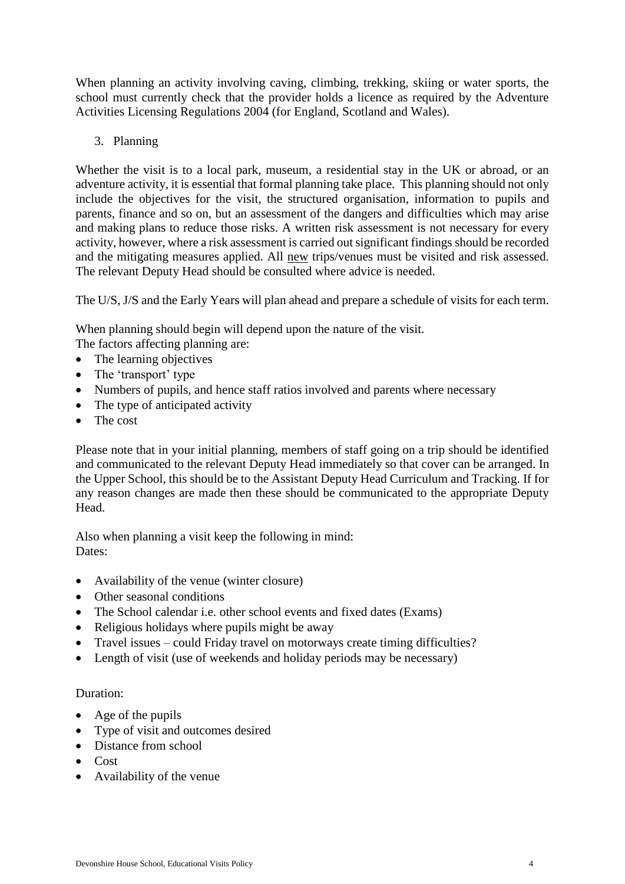When planning an activity involving caving, climbing, trekking, skiing or water sports, the school must currently check that the provider holds a licence as required by the Adventure Activities Licensing Regulations 2004 (for England, Scotland and Wales).

## <span id="page-3-0"></span>3. Planning

Whether the visit is to a local park, museum, a residential stay in the UK or abroad, or an adventure activity, it is essential that formal planning take place. This planning should not only include the objectives for the visit, the structured organisation, information to pupils and parents, finance and so on, but an assessment of the dangers and difficulties which may arise and making plans to reduce those risks. A written risk assessment is not necessary for every activity, however, where a risk assessment is carried out significant findings should be recorded and the mitigating measures applied. All new trips/venues must be visited and risk assessed. The relevant Deputy Head should be consulted where advice is needed.

The U/S, J/S and the Early Years will plan ahead and prepare a schedule of visits for each term.

When planning should begin will depend upon the nature of the visit.

- The factors affecting planning are:
- The learning objectives
- The 'transport' type
- Numbers of pupils, and hence staff ratios involved and parents where necessary
- The type of anticipated activity
- The cost

Please note that in your initial planning, members of staff going on a trip should be identified and communicated to the relevant Deputy Head immediately so that cover can be arranged. In the Upper School, this should be to the Assistant Deputy Head Curriculum and Tracking. If for any reason changes are made then these should be communicated to the appropriate Deputy Head.

Also when planning a visit keep the following in mind: Dates:

- Availability of the venue (winter closure)
- Other seasonal conditions
- The School calendar i.e. other school events and fixed dates (Exams)
- Religious holidays where pupils might be away
- Travel issues could Friday travel on motorways create timing difficulties?
- Length of visit (use of weekends and holiday periods may be necessary)

#### Duration:

- Age of the pupils
- Type of visit and outcomes desired
- Distance from school
- Cost
- Availability of the venue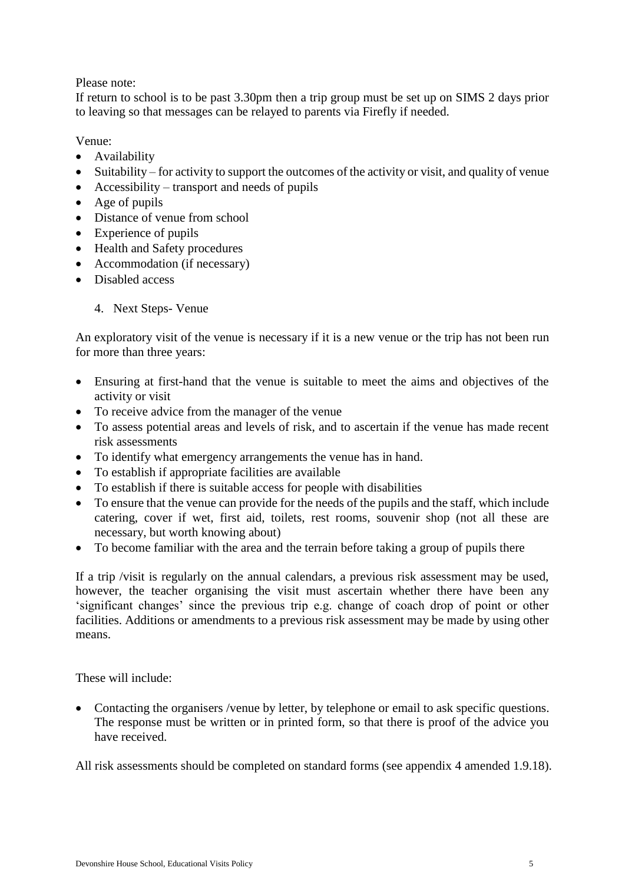## Please note:

If return to school is to be past 3.30pm then a trip group must be set up on SIMS 2 days prior to leaving so that messages can be relayed to parents via Firefly if needed.

## Venue:

- Availability
- Suitability for activity to support the outcomes of the activity or visit, and quality of venue
- $\bullet$  Accessibility transport and needs of pupils
- Age of pupils
- Distance of venue from school
- Experience of pupils
- Health and Safety procedures
- Accommodation (if necessary)
- <span id="page-4-0"></span>• Disabled access
	- 4. Next Steps- Venue

An exploratory visit of the venue is necessary if it is a new venue or the trip has not been run for more than three years:

- Ensuring at first-hand that the venue is suitable to meet the aims and objectives of the activity or visit
- To receive advice from the manager of the venue
- To assess potential areas and levels of risk, and to ascertain if the venue has made recent risk assessments
- To identify what emergency arrangements the venue has in hand.
- To establish if appropriate facilities are available
- To establish if there is suitable access for people with disabilities
- To ensure that the venue can provide for the needs of the pupils and the staff, which include catering, cover if wet, first aid, toilets, rest rooms, souvenir shop (not all these are necessary, but worth knowing about)
- To become familiar with the area and the terrain before taking a group of pupils there

If a trip /visit is regularly on the annual calendars, a previous risk assessment may be used, however, the teacher organising the visit must ascertain whether there have been any 'significant changes' since the previous trip e.g. change of coach drop of point or other facilities. Additions or amendments to a previous risk assessment may be made by using other means.

These will include:

• Contacting the organisers /venue by letter, by telephone or email to ask specific questions. The response must be written or in printed form, so that there is proof of the advice you have received.

All risk assessments should be completed on standard forms (see appendix 4 amended 1.9.18).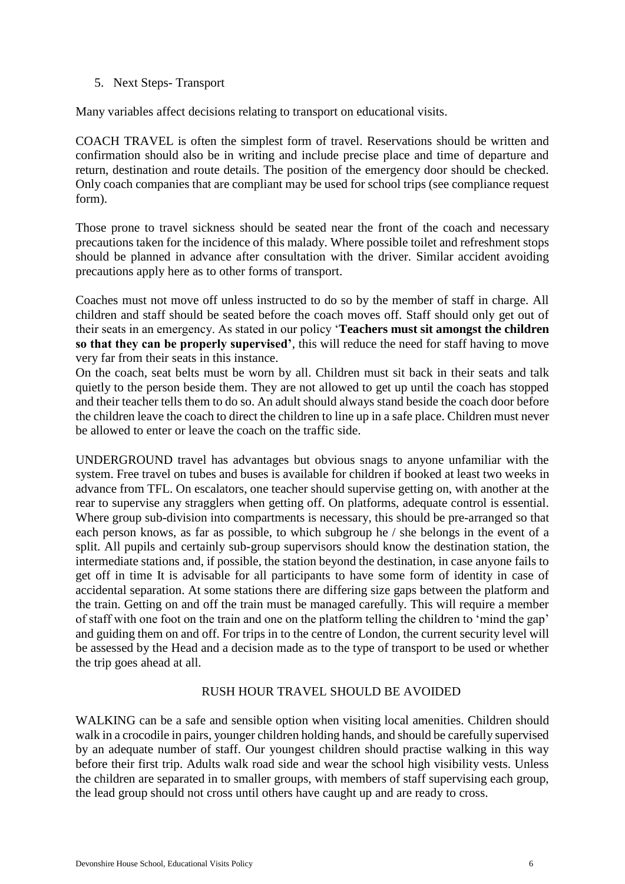### <span id="page-5-0"></span>5. Next Steps- Transport

Many variables affect decisions relating to transport on educational visits.

COACH TRAVEL is often the simplest form of travel. Reservations should be written and confirmation should also be in writing and include precise place and time of departure and return, destination and route details. The position of the emergency door should be checked. Only coach companies that are compliant may be used for school trips (see compliance request form).

Those prone to travel sickness should be seated near the front of the coach and necessary precautions taken for the incidence of this malady. Where possible toilet and refreshment stops should be planned in advance after consultation with the driver. Similar accident avoiding precautions apply here as to other forms of transport.

Coaches must not move off unless instructed to do so by the member of staff in charge. All children and staff should be seated before the coach moves off. Staff should only get out of their seats in an emergency. As stated in our policy '**Teachers must sit amongst the children so that they can be properly supervised'**, this will reduce the need for staff having to move very far from their seats in this instance.

On the coach, seat belts must be worn by all. Children must sit back in their seats and talk quietly to the person beside them. They are not allowed to get up until the coach has stopped and their teacher tells them to do so. An adult should always stand beside the coach door before the children leave the coach to direct the children to line up in a safe place. Children must never be allowed to enter or leave the coach on the traffic side.

UNDERGROUND travel has advantages but obvious snags to anyone unfamiliar with the system. Free travel on tubes and buses is available for children if booked at least two weeks in advance from TFL. On escalators, one teacher should supervise getting on, with another at the rear to supervise any stragglers when getting off. On platforms, adequate control is essential. Where group sub-division into compartments is necessary, this should be pre-arranged so that each person knows, as far as possible, to which subgroup he / she belongs in the event of a split. All pupils and certainly sub-group supervisors should know the destination station, the intermediate stations and, if possible, the station beyond the destination, in case anyone fails to get off in time It is advisable for all participants to have some form of identity in case of accidental separation. At some stations there are differing size gaps between the platform and the train. Getting on and off the train must be managed carefully. This will require a member of staff with one foot on the train and one on the platform telling the children to 'mind the gap' and guiding them on and off. For trips in to the centre of London, the current security level will be assessed by the Head and a decision made as to the type of transport to be used or whether the trip goes ahead at all.

## RUSH HOUR TRAVEL SHOULD BE AVOIDED

WALKING can be a safe and sensible option when visiting local amenities. Children should walk in a crocodile in pairs, younger children holding hands, and should be carefully supervised by an adequate number of staff. Our youngest children should practise walking in this way before their first trip. Adults walk road side and wear the school high visibility vests. Unless the children are separated in to smaller groups, with members of staff supervising each group, the lead group should not cross until others have caught up and are ready to cross.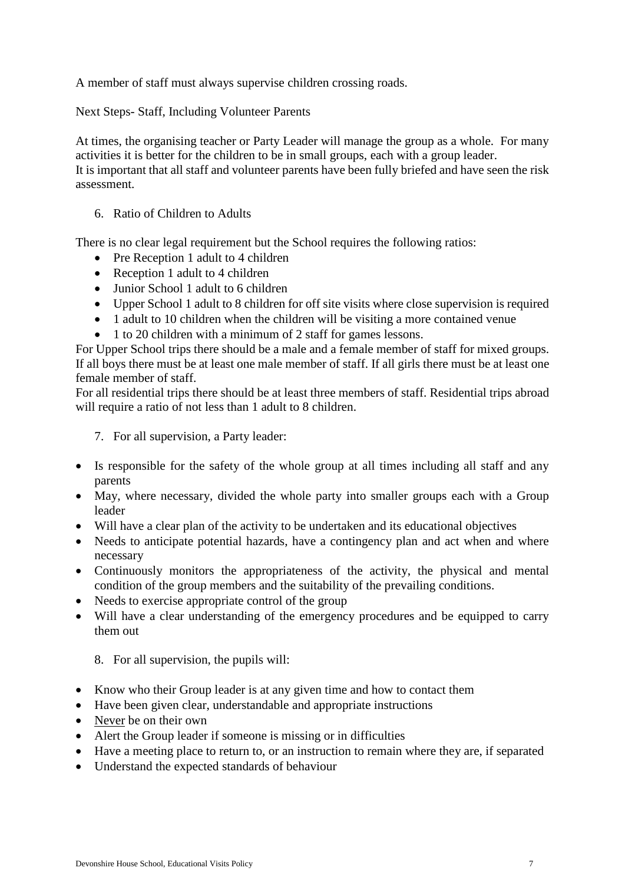A member of staff must always supervise children crossing roads.

Next Steps- Staff, Including Volunteer Parents

At times, the organising teacher or Party Leader will manage the group as a whole. For many activities it is better for the children to be in small groups, each with a group leader. It is important that all staff and volunteer parents have been fully briefed and have seen the risk assessment.

<span id="page-6-0"></span>6. Ratio of Children to Adults

There is no clear legal requirement but the School requires the following ratios:

- Pre Reception 1 adult to 4 children
- Reception 1 adult to 4 children
- Junior School 1 adult to 6 children
- Upper School 1 adult to 8 children for off site visits where close supervision is required
- 1 adult to 10 children when the children will be visiting a more contained venue
- 1 to 20 children with a minimum of 2 staff for games lessons.

For Upper School trips there should be a male and a female member of staff for mixed groups. If all boys there must be at least one male member of staff. If all girls there must be at least one female member of staff.

For all residential trips there should be at least three members of staff. Residential trips abroad will require a ratio of not less than 1 adult to 8 children.

<span id="page-6-1"></span>7. For all supervision, a Party leader:

- Is responsible for the safety of the whole group at all times including all staff and any parents
- May, where necessary, divided the whole party into smaller groups each with a Group leader
- Will have a clear plan of the activity to be undertaken and its educational objectives
- Needs to anticipate potential hazards, have a contingency plan and act when and where necessary
- Continuously monitors the appropriateness of the activity, the physical and mental condition of the group members and the suitability of the prevailing conditions.
- Needs to exercise appropriate control of the group
- Will have a clear understanding of the emergency procedures and be equipped to carry them out

<span id="page-6-2"></span>8. For all supervision, the pupils will:

- Know who their Group leader is at any given time and how to contact them
- Have been given clear, understandable and appropriate instructions
- Never be on their own
- Alert the Group leader if someone is missing or in difficulties
- Have a meeting place to return to, or an instruction to remain where they are, if separated
- Understand the expected standards of behaviour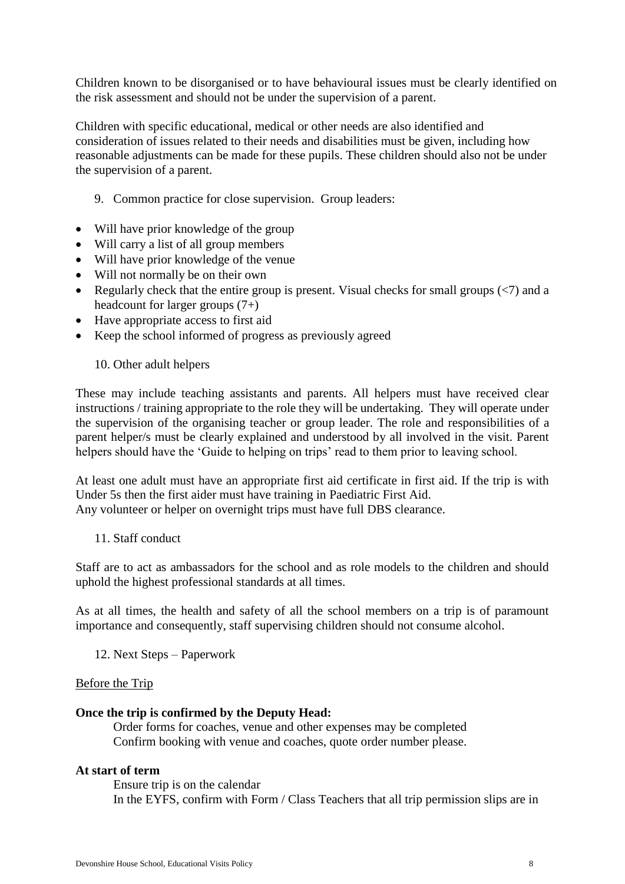Children known to be disorganised or to have behavioural issues must be clearly identified on the risk assessment and should not be under the supervision of a parent.

Children with specific educational, medical or other needs are also identified and consideration of issues related to their needs and disabilities must be given, including how reasonable adjustments can be made for these pupils. These children should also not be under the supervision of a parent.

- <span id="page-7-0"></span>9. Common practice for close supervision. Group leaders:
- Will have prior knowledge of the group
- Will carry a list of all group members
- Will have prior knowledge of the venue
- Will not normally be on their own
- Regularly check that the entire group is present. Visual checks for small groups  $\left\langle \langle 7 \rangle \right\rangle$  and a headcount for larger groups (7+)
- Have appropriate access to first aid
- Keep the school informed of progress as previously agreed

#### <span id="page-7-1"></span>10. Other adult helpers

These may include teaching assistants and parents. All helpers must have received clear instructions / training appropriate to the role they will be undertaking. They will operate under the supervision of the organising teacher or group leader. The role and responsibilities of a parent helper/s must be clearly explained and understood by all involved in the visit. Parent helpers should have the 'Guide to helping on trips' read to them prior to leaving school.

At least one adult must have an appropriate first aid certificate in first aid. If the trip is with Under 5s then the first aider must have training in Paediatric First Aid.

Any volunteer or helper on overnight trips must have full DBS clearance.

<span id="page-7-2"></span>11. Staff conduct

Staff are to act as ambassadors for the school and as role models to the children and should uphold the highest professional standards at all times.

As at all times, the health and safety of all the school members on a trip is of paramount importance and consequently, staff supervising children should not consume alcohol.

<span id="page-7-3"></span>12. Next Steps – Paperwork

#### Before the Trip

#### **Once the trip is confirmed by the Deputy Head:**

Order forms for coaches, venue and other expenses may be completed Confirm booking with venue and coaches, quote order number please.

#### **At start of term**

Ensure trip is on the calendar In the EYFS, confirm with Form / Class Teachers that all trip permission slips are in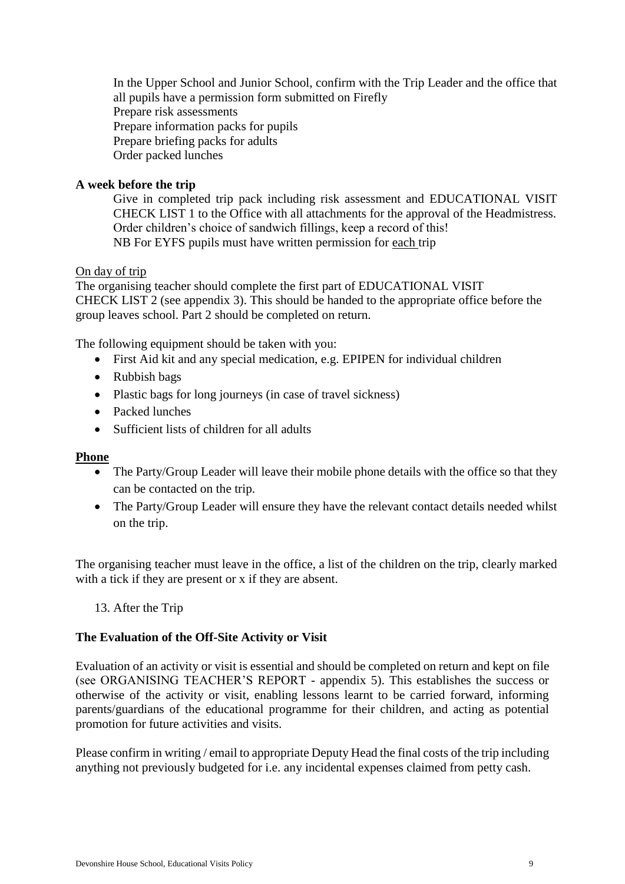In the Upper School and Junior School, confirm with the Trip Leader and the office that all pupils have a permission form submitted on Firefly Prepare risk assessments Prepare information packs for pupils Prepare briefing packs for adults Order packed lunches

## **A week before the trip**

Give in completed trip pack including risk assessment and EDUCATIONAL VISIT CHECK LIST 1 to the Office with all attachments for the approval of the Headmistress. Order children's choice of sandwich fillings, keep a record of this! NB For EYFS pupils must have written permission for each trip

On day of trip

The organising teacher should complete the first part of EDUCATIONAL VISIT CHECK LIST 2 (see appendix 3). This should be handed to the appropriate office before the group leaves school. Part 2 should be completed on return.

The following equipment should be taken with you:

- First Aid kit and any special medication, e.g. EPIPEN for individual children
- Rubbish bags
- Plastic bags for long journeys (in case of travel sickness)
- Packed lunches
- Sufficient lists of children for all adults

## **Phone**

- The Party/Group Leader will leave their mobile phone details with the office so that they can be contacted on the trip.
- The Party/Group Leader will ensure they have the relevant contact details needed whilst on the trip.

The organising teacher must leave in the office, a list of the children on the trip, clearly marked with a tick if they are present or x if they are absent.

<span id="page-8-0"></span>13. After the Trip

## **The Evaluation of the Off-Site Activity or Visit**

Evaluation of an activity or visit is essential and should be completed on return and kept on file (see ORGANISING TEACHER'S REPORT - appendix 5). This establishes the success or otherwise of the activity or visit, enabling lessons learnt to be carried forward, informing parents/guardians of the educational programme for their children, and acting as potential promotion for future activities and visits.

Please confirm in writing / email to appropriate Deputy Head the final costs of the trip including anything not previously budgeted for i.e. any incidental expenses claimed from petty cash.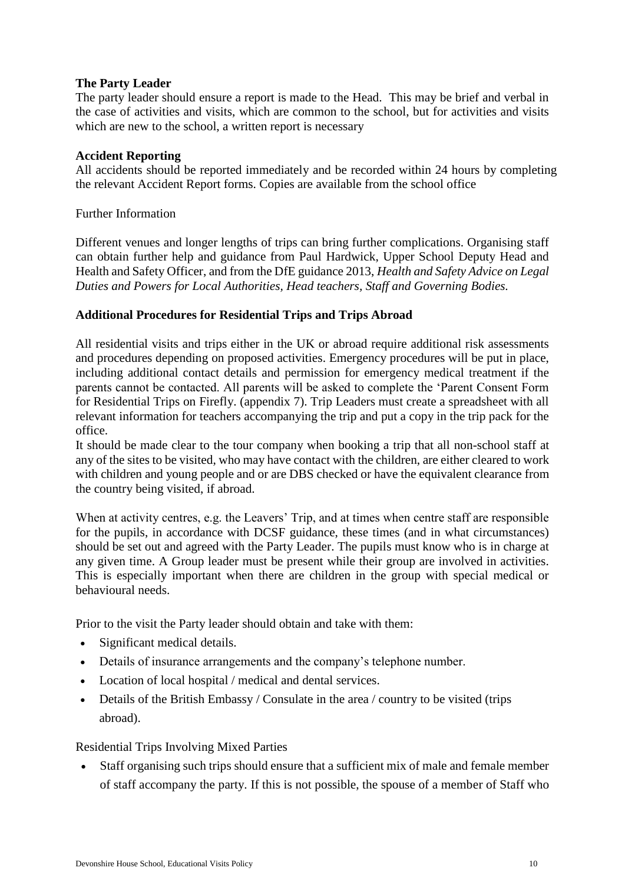## **The Party Leader**

The party leader should ensure a report is made to the Head. This may be brief and verbal in the case of activities and visits, which are common to the school, but for activities and visits which are new to the school, a written report is necessary

## **Accident Reporting**

All accidents should be reported immediately and be recorded within 24 hours by completing the relevant Accident Report forms. Copies are available from the school office

Further Information

Different venues and longer lengths of trips can bring further complications. Organising staff can obtain further help and guidance from Paul Hardwick, Upper School Deputy Head and Health and Safety Officer, and from the DfE guidance 2013, *Health and Safety Advice on Legal Duties and Powers for Local Authorities, Head teachers, Staff and Governing Bodies.* 

## **Additional Procedures for Residential Trips and Trips Abroad**

All residential visits and trips either in the UK or abroad require additional risk assessments and procedures depending on proposed activities. Emergency procedures will be put in place, including additional contact details and permission for emergency medical treatment if the parents cannot be contacted. All parents will be asked to complete the 'Parent Consent Form for Residential Trips on Firefly. (appendix 7). Trip Leaders must create a spreadsheet with all relevant information for teachers accompanying the trip and put a copy in the trip pack for the office.

It should be made clear to the tour company when booking a trip that all non-school staff at any of the sites to be visited, who may have contact with the children, are either cleared to work with children and young people and or are DBS checked or have the equivalent clearance from the country being visited, if abroad.

When at activity centres, e.g. the Leavers' Trip, and at times when centre staff are responsible for the pupils, in accordance with DCSF guidance, these times (and in what circumstances) should be set out and agreed with the Party Leader. The pupils must know who is in charge at any given time. A Group leader must be present while their group are involved in activities. This is especially important when there are children in the group with special medical or behavioural needs.

Prior to the visit the Party leader should obtain and take with them:

- Significant medical details.
- Details of insurance arrangements and the company's telephone number.
- Location of local hospital / medical and dental services.
- Details of the British Embassy / Consulate in the area / country to be visited (trips abroad).

Residential Trips Involving Mixed Parties

 Staff organising such trips should ensure that a sufficient mix of male and female member of staff accompany the party. If this is not possible, the spouse of a member of Staff who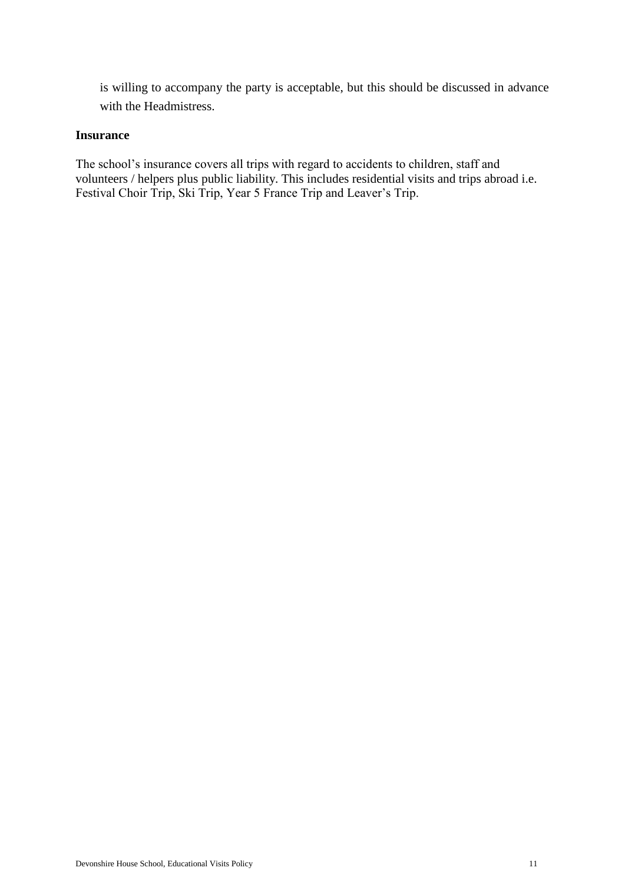is willing to accompany the party is acceptable, but this should be discussed in advance with the Headmistress.

## **Insurance**

The school's insurance covers all trips with regard to accidents to children, staff and volunteers / helpers plus public liability. This includes residential visits and trips abroad i.e. Festival Choir Trip, Ski Trip, Year 5 France Trip and Leaver's Trip.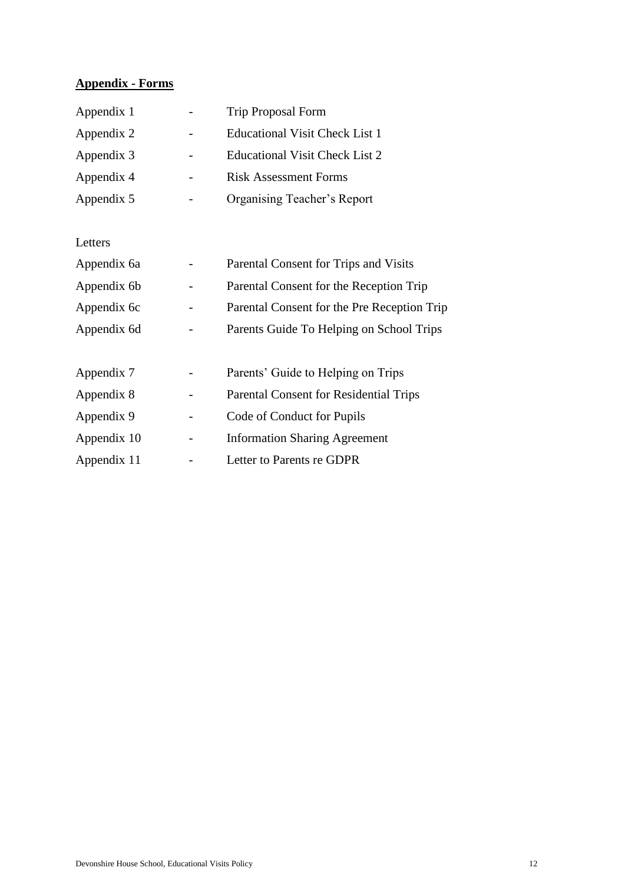## <span id="page-11-0"></span>**Appendix - Forms**

| Appendix 1 | <b>Trip Proposal Form</b>      |
|------------|--------------------------------|
| Appendix 2 | Educational Visit Check List 1 |
| Appendix 3 | Educational Visit Check List 2 |
| Appendix 4 | <b>Risk Assessment Forms</b>   |
| Appendix 5 | Organising Teacher's Report    |

Letters

| Appendix 6a | Parental Consent for Trips and Visits         |
|-------------|-----------------------------------------------|
| Appendix 6b | Parental Consent for the Reception Trip       |
| Appendix 6c | Parental Consent for the Pre Reception Trip   |
| Appendix 6d | Parents Guide To Helping on School Trips      |
|             |                                               |
| Appendix 7  | Parents' Guide to Helping on Trips            |
| Appendix 8  | <b>Parental Consent for Residential Trips</b> |
| Appendix 9  | Code of Conduct for Pupils                    |
| Appendix 10 | <b>Information Sharing Agreement</b>          |
| Appendix 11 | Letter to Parents re GDPR                     |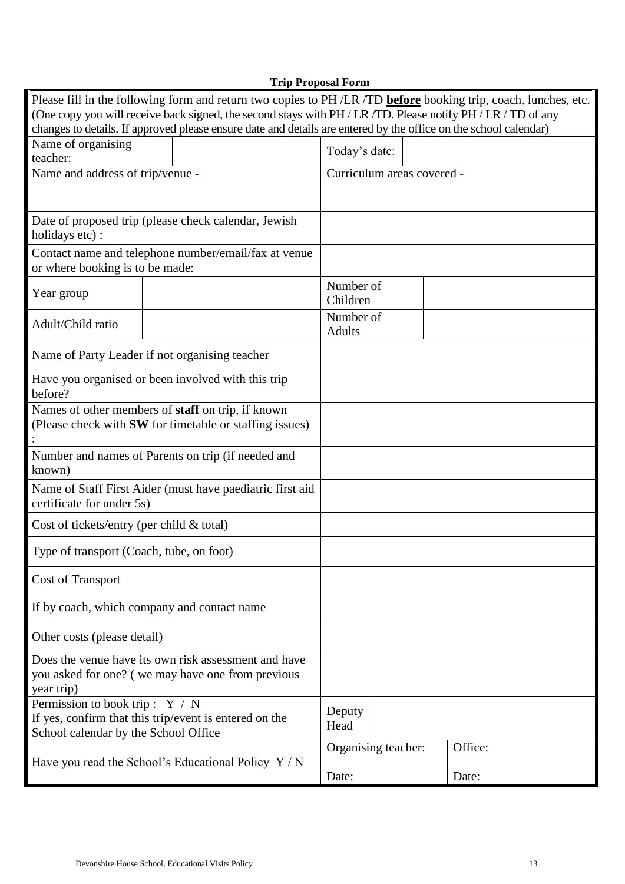<span id="page-12-0"></span>

|                                                               | <b>Trip Proposal Form</b>                                                                                        |                     |                            |         |
|---------------------------------------------------------------|------------------------------------------------------------------------------------------------------------------|---------------------|----------------------------|---------|
|                                                               | Please fill in the following form and return two copies to PH /LR /TD before booking trip, coach, lunches, etc.  |                     |                            |         |
|                                                               | (One copy you will receive back signed, the second stays with PH / LR / TD. Please notify PH / LR / TD of any    |                     |                            |         |
|                                                               | changes to details. If approved please ensure date and details are entered by the office on the school calendar) |                     |                            |         |
| Name of organising                                            |                                                                                                                  | Today's date:       |                            |         |
| teacher:                                                      |                                                                                                                  |                     |                            |         |
| Name and address of trip/venue -                              |                                                                                                                  |                     | Curriculum areas covered - |         |
|                                                               |                                                                                                                  |                     |                            |         |
|                                                               |                                                                                                                  |                     |                            |         |
| Date of proposed trip (please check calendar, Jewish          |                                                                                                                  |                     |                            |         |
| holidays etc):                                                |                                                                                                                  |                     |                            |         |
| Contact name and telephone number/email/fax at venue          |                                                                                                                  |                     |                            |         |
| or where booking is to be made:                               |                                                                                                                  |                     |                            |         |
|                                                               |                                                                                                                  | Number of           |                            |         |
| Year group                                                    |                                                                                                                  | Children            |                            |         |
| Adult/Child ratio                                             |                                                                                                                  | Number of           |                            |         |
|                                                               |                                                                                                                  | <b>Adults</b>       |                            |         |
| Name of Party Leader if not organising teacher                |                                                                                                                  |                     |                            |         |
|                                                               |                                                                                                                  |                     |                            |         |
| Have you organised or been involved with this trip<br>before? |                                                                                                                  |                     |                            |         |
| Names of other members of staff on trip, if known             |                                                                                                                  |                     |                            |         |
| (Please check with SW for timetable or staffing issues)       |                                                                                                                  |                     |                            |         |
|                                                               |                                                                                                                  |                     |                            |         |
| Number and names of Parents on trip (if needed and            |                                                                                                                  |                     |                            |         |
| known)                                                        |                                                                                                                  |                     |                            |         |
| Name of Staff First Aider (must have paediatric first aid     |                                                                                                                  |                     |                            |         |
| certificate for under 5s)                                     |                                                                                                                  |                     |                            |         |
| Cost of tickets/entry (per child $\&$ total)                  |                                                                                                                  |                     |                            |         |
| Type of transport (Coach, tube, on foot)                      |                                                                                                                  |                     |                            |         |
| <b>Cost of Transport</b>                                      |                                                                                                                  |                     |                            |         |
| If by coach, which company and contact name                   |                                                                                                                  |                     |                            |         |
|                                                               |                                                                                                                  |                     |                            |         |
| Other costs (please detail)                                   |                                                                                                                  |                     |                            |         |
| Does the venue have its own risk assessment and have          |                                                                                                                  |                     |                            |         |
| you asked for one? (we may have one from previous             |                                                                                                                  |                     |                            |         |
| year trip)                                                    |                                                                                                                  |                     |                            |         |
| Permission to book trip: $Y / N$                              |                                                                                                                  | Deputy              |                            |         |
| If yes, confirm that this trip/event is entered on the        |                                                                                                                  | Head                |                            |         |
| School calendar by the School Office                          |                                                                                                                  |                     |                            |         |
|                                                               |                                                                                                                  | Organising teacher: |                            | Office: |
| Have you read the School's Educational Policy Y/N             |                                                                                                                  | Date:               |                            | Date:   |
|                                                               |                                                                                                                  |                     |                            |         |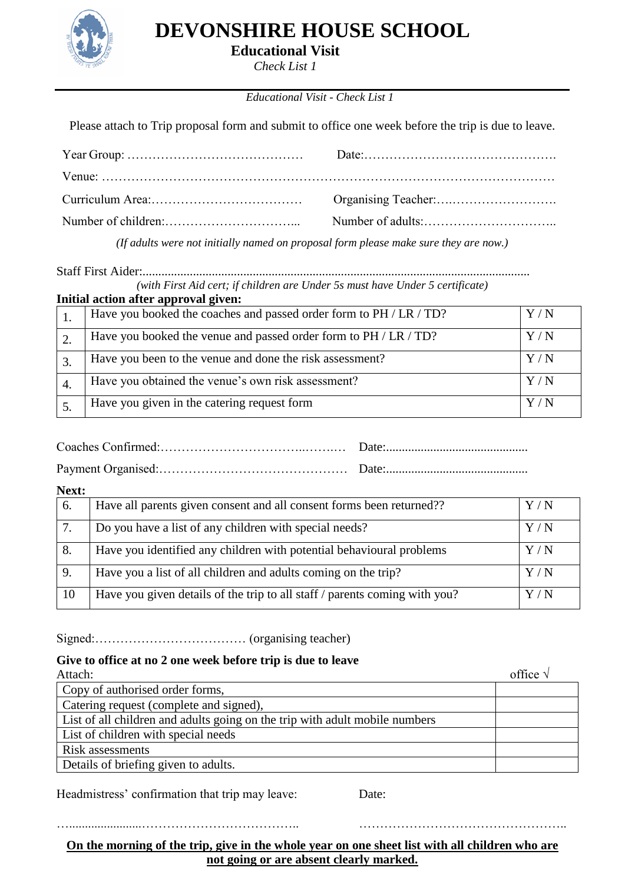

**Educational Visit**

*Check List 1*

## *Educational Visit - Check List 1*

<span id="page-13-0"></span>Please attach to Trip proposal form and submit to office one week before the trip is due to leave.

*(If adults were not initially named on proposal form please make sure they are now.)*

Staff First Aider:........................................................................................................................... *(with First Aid cert; if children are Under 5s must have Under 5 certificate)* **Initial action after approval given:**

| Iniual action after approval given:                                |                   |
|--------------------------------------------------------------------|-------------------|
| Have you booked the coaches and passed order form to PH / LR / TD? | Y/N               |
| Have you booked the venue and passed order form to PH / LR / TD?   | Y/N               |
| Have you been to the venue and done the risk assessment?           | $\rm Y$ / $\rm N$ |
| Have you obtained the venue's own risk assessment?                 | $\rm Y$ / $\rm N$ |
| Have you given in the catering request form                        | $\rm Y$ / $\rm N$ |

Coaches Confirmed:……………………………..…….… Date:.............................................

Payment Organised:……………………………………… Date:.............................................

### **Next:**

| 6. | Have all parents given consent and all consent forms been returned??       | $\rm Y$ / $\rm N$ |
|----|----------------------------------------------------------------------------|-------------------|
|    | Do you have a list of any children with special needs?                     | $\rm Y$ / $\rm N$ |
| 8. | Have you identified any children with potential behavioural problems       | $\rm Y$ / $\rm N$ |
| 9. | Have you a list of all children and adults coming on the trip?             | $\rm Y$ / $\rm N$ |
| 10 | Have you given details of the trip to all staff / parents coming with you? | $\rm Y$ / $\rm N$ |

Signed:……………………………… (organising teacher)

#### **Give to office at no 2 one week before trip is due to leave**

| Attach:                                                                     | office $\sqrt{ }$ |
|-----------------------------------------------------------------------------|-------------------|
| Copy of authorised order forms,                                             |                   |
| Catering request (complete and signed),                                     |                   |
| List of all children and adults going on the trip with adult mobile numbers |                   |
| List of children with special needs                                         |                   |
| Risk assessments                                                            |                   |
| Details of briefing given to adults.                                        |                   |

Headmistress' confirmation that trip may leave: Date:

**On the morning of the trip, give in the whole year on one sheet list with all children who are not going or are absent clearly marked.**

….......................……………………………….. …………………………………………..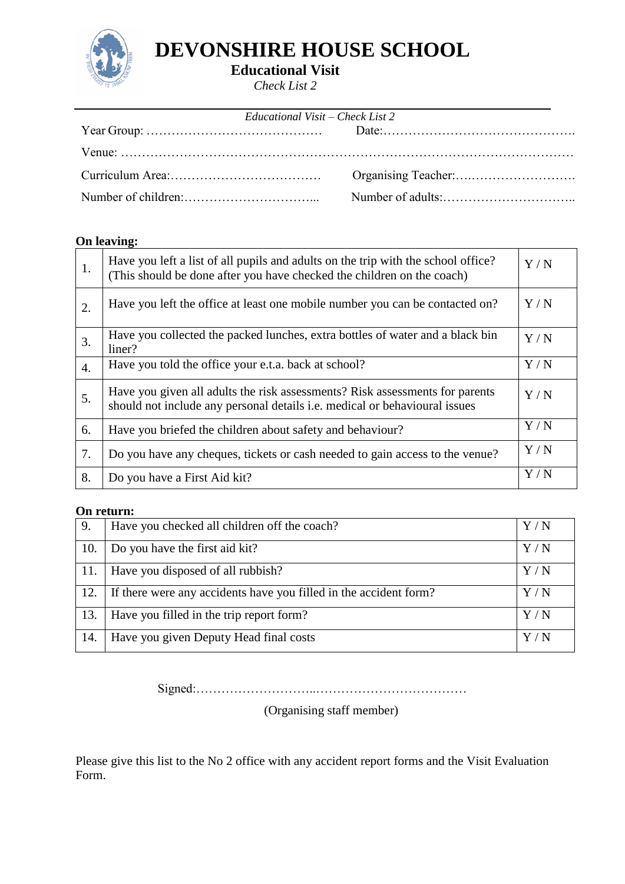

**Educational Visit**

*Check List 2*

<span id="page-14-0"></span>

| Educational Visit – Check List 2 |  |  |  |
|----------------------------------|--|--|--|
|                                  |  |  |  |
|                                  |  |  |  |
|                                  |  |  |  |
|                                  |  |  |  |

## **On leaving:**

| 1. | Have you left a list of all pupils and adults on the trip with the school office?<br>(This should be done after you have checked the children on the coach)       | Y/N |
|----|-------------------------------------------------------------------------------------------------------------------------------------------------------------------|-----|
| 2. | Have you left the office at least one mobile number you can be contacted on?                                                                                      | Y/N |
| 3. | Have you collected the packed lunches, extra bottles of water and a black bin<br>liner?                                                                           | Y/N |
| 4. | Have you told the office your e.t.a. back at school?                                                                                                              | Y/N |
| 5. | Have you given all adults the risk assessments? Risk assessments for parents<br>should not include any personal details <i>i.e.</i> medical or behavioural issues | Y/N |
| 6. | Have you briefed the children about safety and behaviour?                                                                                                         | Y/N |
| 7. | Do you have any cheques, tickets or cash needed to gain access to the venue?                                                                                      | Y/N |
| 8. | Do you have a First Aid kit?                                                                                                                                      | Y/N |

## **On return:**

| 9.  | Have you checked all children off the coach?                      |                   |
|-----|-------------------------------------------------------------------|-------------------|
| 10. | Do you have the first aid kit?                                    | $\rm Y$ / $\rm N$ |
| 11. | Have you disposed of all rubbish?                                 | $\rm Y$ / $\rm N$ |
| 12. | If there were any accidents have you filled in the accident form? | $\rm Y$ / $\rm N$ |
| 13. | Have you filled in the trip report form?                          | Y/N               |
| 14. | Have you given Deputy Head final costs                            | V / N             |

Signed:………………………..………………………………

(Organising staff member)

Please give this list to the No 2 office with any accident report forms and the Visit Evaluation Form.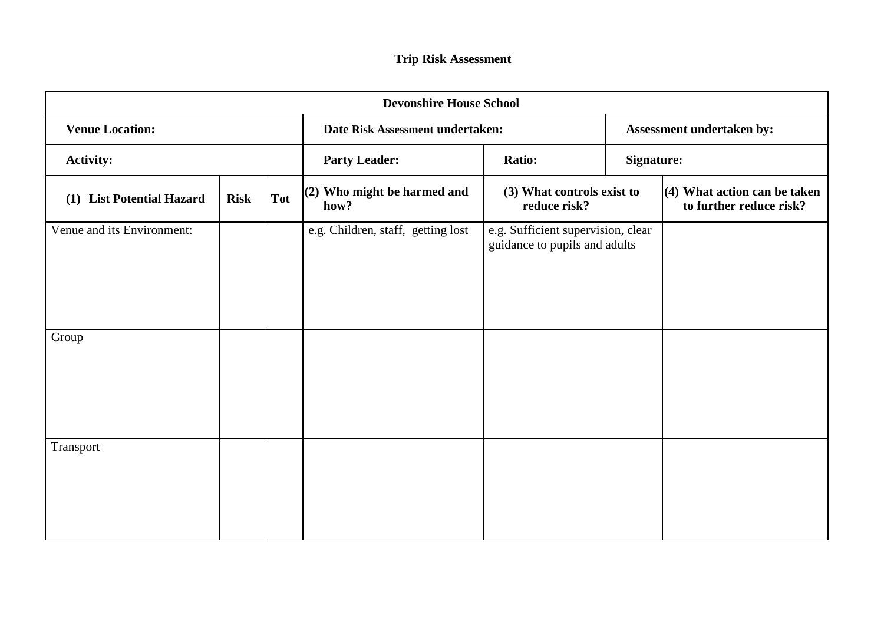<span id="page-15-1"></span><span id="page-15-0"></span>

| <b>Devonshire House School</b>      |             |                      |                                     |                                                                     |                           |                                                           |  |
|-------------------------------------|-------------|----------------------|-------------------------------------|---------------------------------------------------------------------|---------------------------|-----------------------------------------------------------|--|
| <b>Venue Location:</b>              |             |                      | Date Risk Assessment undertaken:    |                                                                     | Assessment undertaken by: |                                                           |  |
| <b>Activity:</b>                    |             | <b>Party Leader:</b> | <b>Ratio:</b>                       |                                                                     | <b>Signature:</b>         |                                                           |  |
| <b>List Potential Hazard</b><br>(1) | <b>Risk</b> | <b>Tot</b>           | (2) Who might be harmed and<br>how? | (3) What controls exist to<br>reduce risk?                          |                           | $(4)$ What action can be taken<br>to further reduce risk? |  |
| Venue and its Environment:          |             |                      | e.g. Children, staff, getting lost  | e.g. Sufficient supervision, clear<br>guidance to pupils and adults |                           |                                                           |  |
| Group                               |             |                      |                                     |                                                                     |                           |                                                           |  |
| Transport                           |             |                      |                                     |                                                                     |                           |                                                           |  |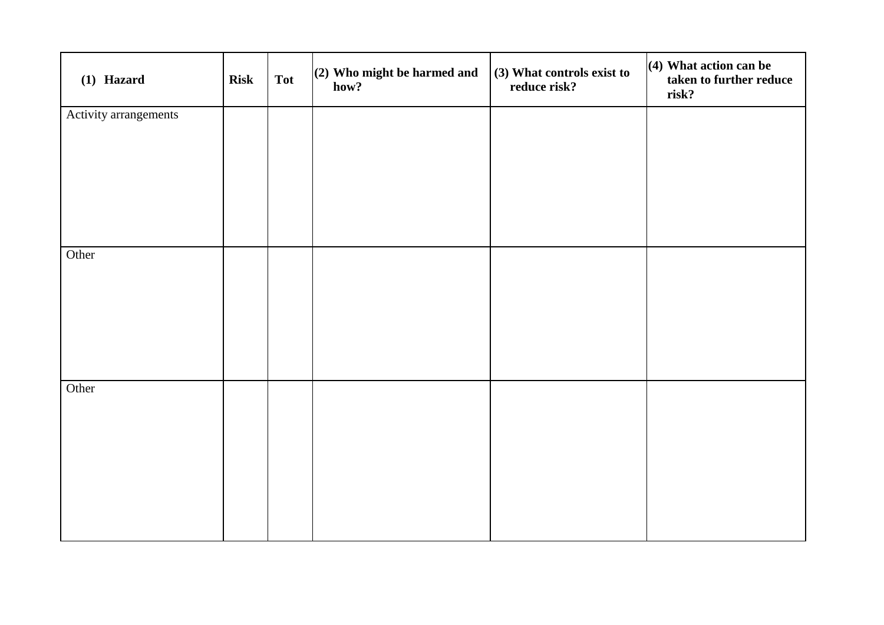| (1) Hazard            | <b>Risk</b> | <b>Tot</b> | $(2)$ Who might be harmed and<br>how? | (3) What controls exist to<br>reduce risk? | $(4)$ What action can be<br>taken to further reduce<br>risk? |
|-----------------------|-------------|------------|---------------------------------------|--------------------------------------------|--------------------------------------------------------------|
| Activity arrangements |             |            |                                       |                                            |                                                              |
|                       |             |            |                                       |                                            |                                                              |
|                       |             |            |                                       |                                            |                                                              |
|                       |             |            |                                       |                                            |                                                              |
|                       |             |            |                                       |                                            |                                                              |
|                       |             |            |                                       |                                            |                                                              |
| Other                 |             |            |                                       |                                            |                                                              |
|                       |             |            |                                       |                                            |                                                              |
|                       |             |            |                                       |                                            |                                                              |
|                       |             |            |                                       |                                            |                                                              |
|                       |             |            |                                       |                                            |                                                              |
| Other                 |             |            |                                       |                                            |                                                              |
|                       |             |            |                                       |                                            |                                                              |
|                       |             |            |                                       |                                            |                                                              |
|                       |             |            |                                       |                                            |                                                              |
|                       |             |            |                                       |                                            |                                                              |
|                       |             |            |                                       |                                            |                                                              |
|                       |             |            |                                       |                                            |                                                              |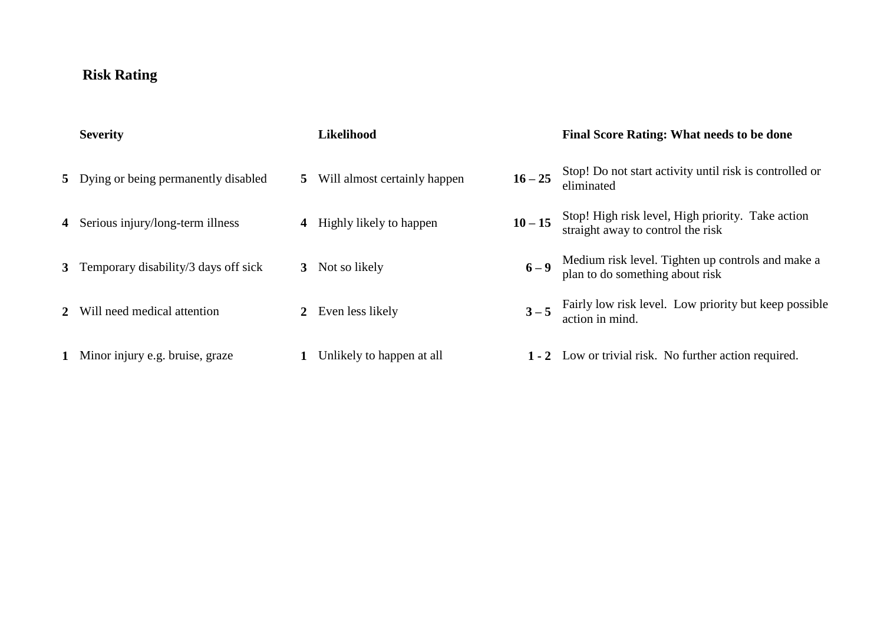# **Risk Rating**

| <b>Severity</b>                        | <b>Likelihood</b>              |           | <b>Final Score Rating: What needs to be done</b>                                       |
|----------------------------------------|--------------------------------|-----------|----------------------------------------------------------------------------------------|
| 5 Dying or being permanently disabled  | 5 Will almost certainly happen | $16 - 25$ | Stop! Do not start activity until risk is controlled or<br>eliminated                  |
| 4 Serious injury/long-term illness     | 4 Highly likely to happen      | $10 - 15$ | Stop! High risk level, High priority. Take action<br>straight away to control the risk |
| 3 Temporary disability/3 days off sick | 3 Not so likely                | $6 - 9$   | Medium risk level. Tighten up controls and make a<br>plan to do something about risk   |
| 2 Will need medical attention          | 2 Even less likely             |           | $3-5$ Fairly low risk level. Low priority but keep possible<br>action in mind.         |
| 1 Minor injury e.g. bruise, graze      | Unlikely to happen at all      |           | 1 - 2 Low or trivial risk. No further action required.                                 |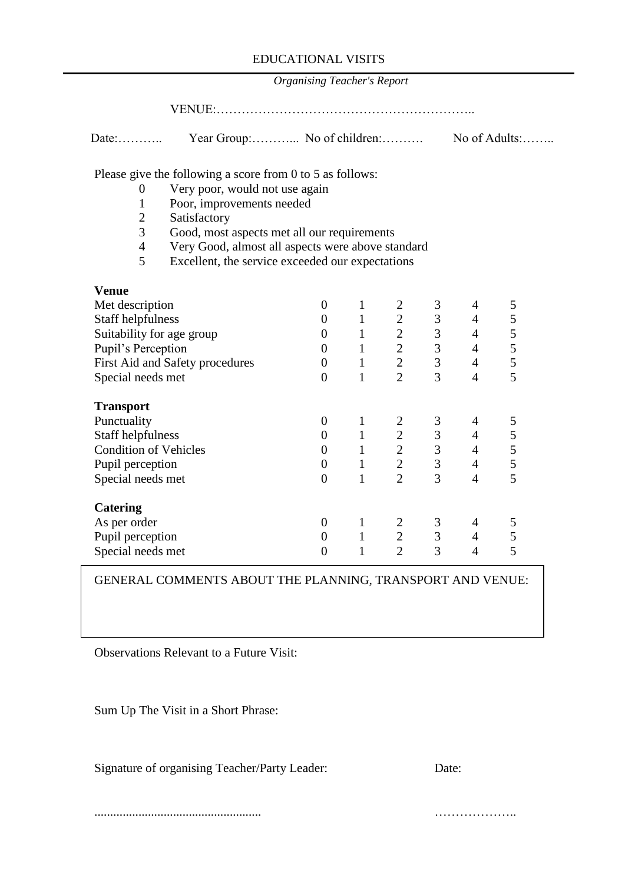*Organising Teacher's Report*

<span id="page-18-0"></span>

| Date: | Year Group: No of children: | No of Adults: |
|-------|-----------------------------|---------------|
|       |                             |               |

Please give the following a score from 0 to 5 as follows:

- 0 Very poor, would not use again
- 1 Poor, improvements needed
- 2 Satisfactory
- 3 Good, most aspects met all our requirements
- 4 Very Good, almost all aspects were above standard<br>5 Excellent, the service exceeded our expectations
- Excellent, the service exceeded our expectations

| <b>Venue</b>                    |                |   |                |   |   |   |
|---------------------------------|----------------|---|----------------|---|---|---|
| Met description                 | 0              | 1 |                | 3 | 4 | 5 |
| Staff helpfulness               | $\theta$       | 1 | $\overline{2}$ | 3 | 4 | 5 |
| Suitability for age group       | 0              | 1 | $\overline{2}$ | 3 | 4 | 5 |
| Pupil's Perception              | 0              | 1 | $\overline{2}$ | 3 | 4 | 5 |
| First Aid and Safety procedures | $\overline{0}$ | 1 | $\overline{2}$ | 3 | 4 | 5 |
| Special needs met               | $\overline{0}$ | 1 | $\overline{2}$ | 3 | 4 | 5 |
| <b>Transport</b>                |                |   |                |   |   |   |
| Punctuality                     | $\overline{0}$ | 1 |                | 3 | 4 |   |
| Staff helpfulness               | $\overline{0}$ |   | $\overline{2}$ | 3 | 4 | 5 |
| <b>Condition of Vehicles</b>    | $\overline{0}$ |   | $\overline{2}$ | 3 | 4 | 5 |
| Pupil perception                | $\overline{0}$ |   | $\overline{2}$ | 3 | 4 | 5 |
| Special needs met               | $\overline{0}$ | 1 | $\overline{2}$ | 3 | 4 | 5 |
| <b>Catering</b>                 |                |   |                |   |   |   |
| As per order                    | 0              |   |                | 3 | 4 | 5 |
| Pupil perception                | 0              |   | $\overline{2}$ | 3 | 4 | 5 |
| Special needs met               | 0              |   | $\overline{2}$ | 3 | 4 | 5 |

GENERAL COMMENTS ABOUT THE PLANNING, TRANSPORT AND VENUE:

Observations Relevant to a Future Visit:

Sum Up The Visit in a Short Phrase:

Signature of organising Teacher/Party Leader: Date:

..................................................... ………………..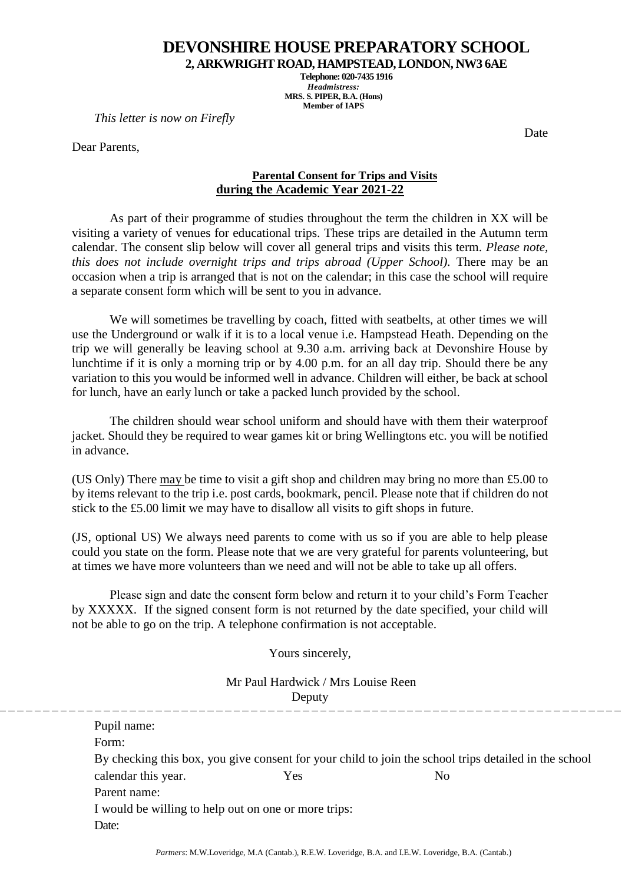**2, ARKWRIGHT ROAD, HAMPSTEAD, LONDON, NW3 6AE**

**Telephone: 020-7435 1916** *Headmistress:* **MRS. S. PIPER, B.A. (Hons) Member of IAPS**

<span id="page-19-0"></span>*This letter is now on Firefly*

Dear Parents,

Date

## **Parental Consent for Trips and Visits during the Academic Year 2021-22**

As part of their programme of studies throughout the term the children in XX will be visiting a variety of venues for educational trips. These trips are detailed in the Autumn term calendar. The consent slip below will cover all general trips and visits this term. *Please note, this does not include overnight trips and trips abroad (Upper School).* There may be an occasion when a trip is arranged that is not on the calendar; in this case the school will require a separate consent form which will be sent to you in advance.

We will sometimes be travelling by coach, fitted with seatbelts, at other times we will use the Underground or walk if it is to a local venue i.e. Hampstead Heath. Depending on the trip we will generally be leaving school at 9.30 a.m. arriving back at Devonshire House by lunchtime if it is only a morning trip or by 4.00 p.m. for an all day trip. Should there be any variation to this you would be informed well in advance. Children will either, be back at school for lunch, have an early lunch or take a packed lunch provided by the school.

The children should wear school uniform and should have with them their waterproof jacket. Should they be required to wear games kit or bring Wellingtons etc. you will be notified in advance.

(US Only) There may be time to visit a gift shop and children may bring no more than £5.00 to by items relevant to the trip i.e. post cards, bookmark, pencil. Please note that if children do not stick to the £5.00 limit we may have to disallow all visits to gift shops in future.

(JS, optional US) We always need parents to come with us so if you are able to help please could you state on the form. Please note that we are very grateful for parents volunteering, but at times we have more volunteers than we need and will not be able to take up all offers.

Please sign and date the consent form below and return it to your child's Form Teacher by XXXXX. If the signed consent form is not returned by the date specified, your child will not be able to go on the trip. A telephone confirmation is not acceptable.

Yours sincerely,

Mr Paul Hardwick / Mrs Louise Reen Deputy

| Pupil name:                                          |     |                                                                                                       |  |
|------------------------------------------------------|-----|-------------------------------------------------------------------------------------------------------|--|
| Form:                                                |     |                                                                                                       |  |
|                                                      |     | By checking this box, you give consent for your child to join the school trips detailed in the school |  |
| calendar this year.                                  | Yes | N <sub>0</sub>                                                                                        |  |
| Parent name:                                         |     |                                                                                                       |  |
| I would be willing to help out on one or more trips: |     |                                                                                                       |  |
| Date:                                                |     |                                                                                                       |  |
|                                                      |     |                                                                                                       |  |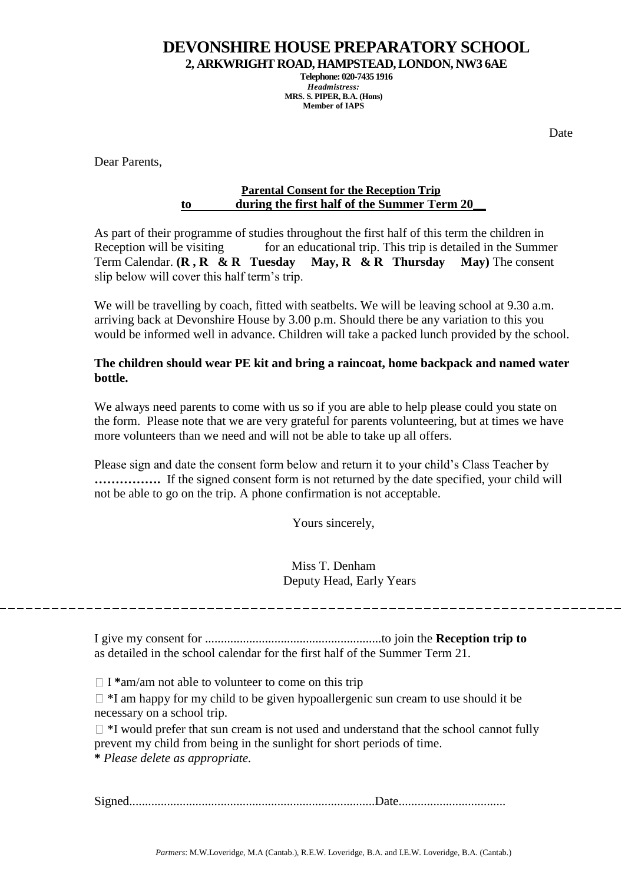**2, ARKWRIGHT ROAD, HAMPSTEAD, LONDON, NW3 6AE**

**Telephone: 020-7435 1916** *Headmistress:* **MRS. S. PIPER, B.A. (Hons) Member of IAPS**

Date

<span id="page-20-0"></span>Dear Parents,

## **Parental Consent for the Reception Trip to during the first half of the Summer Term 20\_\_**

As part of their programme of studies throughout the first half of this term the children in Reception will be visiting for an educational trip. This trip is detailed in the Summer Term Calendar. **(R , R & R Tuesday May, R & R Thursday May)** The consent slip below will cover this half term's trip.

We will be travelling by coach, fitted with seatbelts. We will be leaving school at 9.30 a.m. arriving back at Devonshire House by 3.00 p.m. Should there be any variation to this you would be informed well in advance. Children will take a packed lunch provided by the school.

## **The children should wear PE kit and bring a raincoat, home backpack and named water bottle.**

We always need parents to come with us so if you are able to help please could you state on the form. Please note that we are very grateful for parents volunteering, but at times we have more volunteers than we need and will not be able to take up all offers.

Please sign and date the consent form below and return it to your child's Class Teacher by **…………….** If the signed consent form is not returned by the date specified, your child will not be able to go on the trip. A phone confirmation is not acceptable.

Yours sincerely,

Miss T. Denham Deputy Head, Early Years

I give my consent for ........................................................to join the **Reception trip to**  as detailed in the school calendar for the first half of the Summer Term 21.

 $\Box$  **I** \*am/am not able to volunteer to come on this trip

 $\Box$  \*I am happy for my child to be given hypoallergenic sun cream to use should it be necessary on a school trip.

 $\Box$  \*I would prefer that sun cream is not used and understand that the school cannot fully prevent my child from being in the sunlight for short periods of time. **\*** *Please delete as appropriate.* 

Signed..............................................................................Date..................................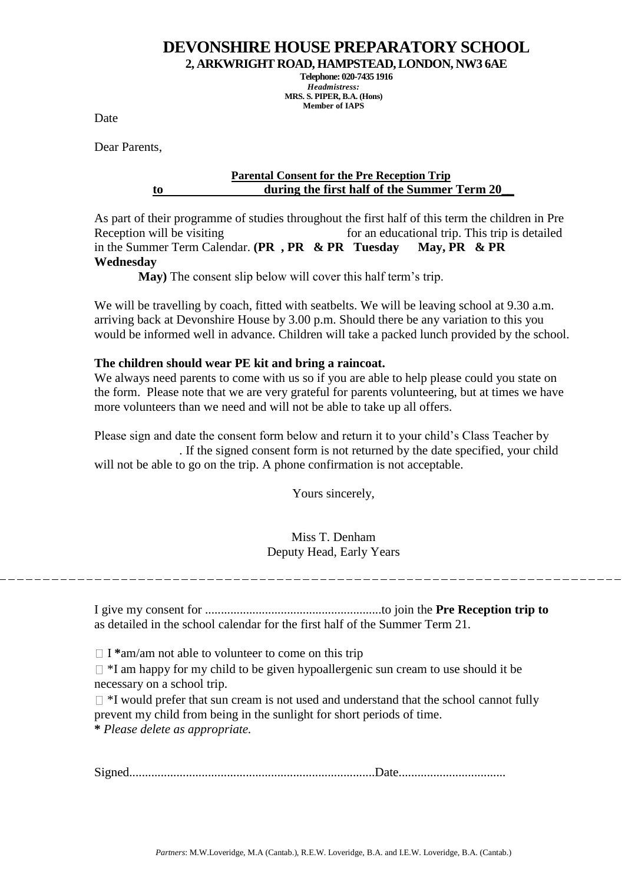**2, ARKWRIGHT ROAD, HAMPSTEAD, LONDON, NW3 6AE**

**Telephone: 020-7435 1916** *Headmistress:* **MRS. S. PIPER, B.A. (Hons) Member of IAPS**

Date

<span id="page-21-0"></span>Dear Parents,

## **Parental Consent for the Pre Reception Trip to during the first half of the Summer Term 20\_\_**

As part of their programme of studies throughout the first half of this term the children in Pre Reception will be visiting for an educational trip. This trip is detailed in the Summer Term Calendar. **(PR , PR & PR Tuesday May, PR & PR Wednesday** 

 **May)** The consent slip below will cover this half term's trip.

We will be travelling by coach, fitted with seatbelts. We will be leaving school at 9.30 a.m. arriving back at Devonshire House by 3.00 p.m. Should there be any variation to this you would be informed well in advance. Children will take a packed lunch provided by the school.

## **The children should wear PE kit and bring a raincoat.**

We always need parents to come with us so if you are able to help please could you state on the form. Please note that we are very grateful for parents volunteering, but at times we have more volunteers than we need and will not be able to take up all offers.

Please sign and date the consent form below and return it to your child's Class Teacher by . If the signed consent form is not returned by the date specified, your child will not be able to go on the trip. A phone confirmation is not acceptable.

Yours sincerely,

Miss T. Denham Deputy Head, Early Years

I give my consent for ........................................................to join the **Pre Reception trip to**  as detailed in the school calendar for the first half of the Summer Term 21.

□ I <sup>\*</sup>am/am not able to volunteer to come on this trip

 $\Box$  \*I am happy for my child to be given hypoallergenic sun cream to use should it be necessary on a school trip.

 $\Box$  \*I would prefer that sun cream is not used and understand that the school cannot fully prevent my child from being in the sunlight for short periods of time. **\*** *Please delete as appropriate.* 

Signed..............................................................................Date..................................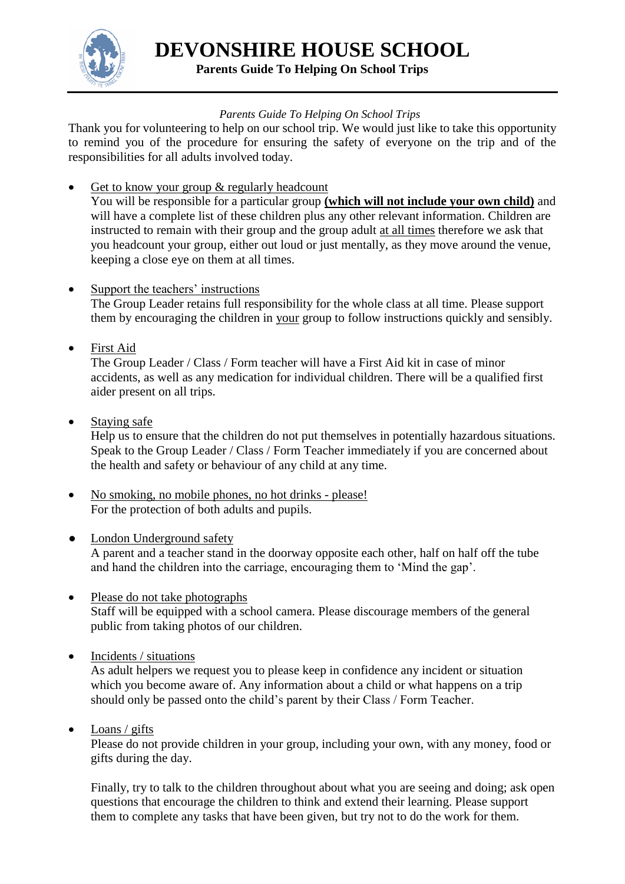

**DEVONSHIRE HOUSE SCHOOL Parents Guide To Helping On School Trips**

## *Parents Guide To Helping On School Trips*

<span id="page-22-0"></span>Thank you for volunteering to help on our school trip. We would just like to take this opportunity to remind you of the procedure for ensuring the safety of everyone on the trip and of the responsibilities for all adults involved today.

• Get to know your group & regularly headcount You will be responsible for a particular group **(which will not include your own child)** and will have a complete list of these children plus any other relevant information. Children are instructed to remain with their group and the group adult at all times therefore we ask that you headcount your group, either out loud or just mentally, as they move around the venue, keeping a close eye on them at all times.

## • Support the teachers' instructions

The Group Leader retains full responsibility for the whole class at all time. Please support them by encouraging the children in your group to follow instructions quickly and sensibly.

First Aid

The Group Leader / Class / Form teacher will have a First Aid kit in case of minor accidents, as well as any medication for individual children. There will be a qualified first aider present on all trips.

• Staying safe

Help us to ensure that the children do not put themselves in potentially hazardous situations. Speak to the Group Leader / Class / Form Teacher immediately if you are concerned about the health and safety or behaviour of any child at any time.

- No smoking, no mobile phones, no hot drinks please! For the protection of both adults and pupils.
- London Underground safety A parent and a teacher stand in the doorway opposite each other, half on half off the tube and hand the children into the carriage, encouraging them to 'Mind the gap'.
- Please do not take photographs Staff will be equipped with a school camera. Please discourage members of the general public from taking photos of our children.
- Incidents / situations

As adult helpers we request you to please keep in confidence any incident or situation which you become aware of. Any information about a child or what happens on a trip should only be passed onto the child's parent by their Class / Form Teacher.

 $\bullet$  Loans / gifts

Please do not provide children in your group, including your own, with any money, food or gifts during the day.

Finally, try to talk to the children throughout about what you are seeing and doing; ask open questions that encourage the children to think and extend their learning. Please support them to complete any tasks that have been given, but try not to do the work for them.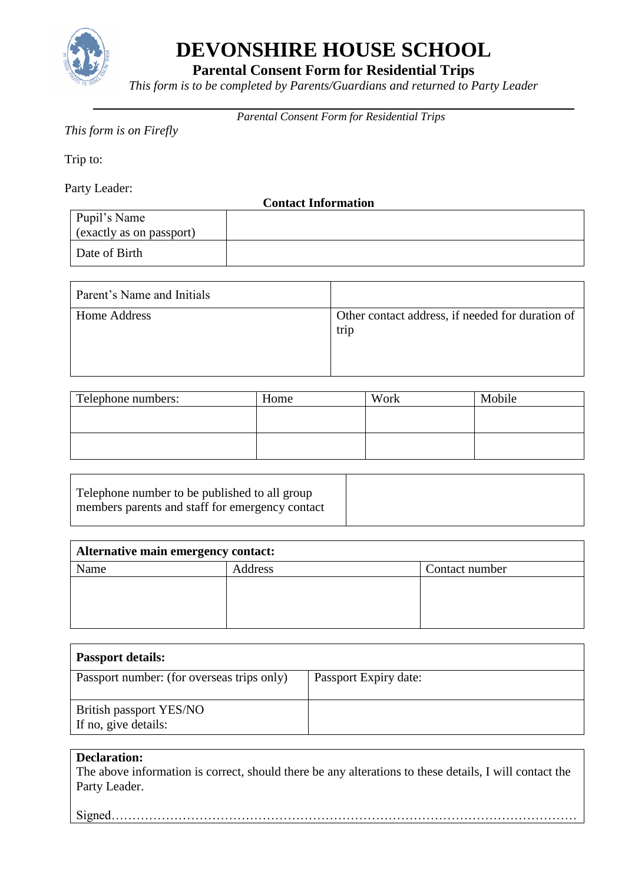

**Parental Consent Form for Residential Trips**

*This form is to be completed by Parents/Guardians and returned to Party Leader*

*Parental Consent Form for Residential Trips*

## <span id="page-23-0"></span>*This form is on Firefly*

Trip to:

Party Leader:

**Contact Information**

| Pupil's Name<br>$\vert$ (exactly as on passport) |  |
|--------------------------------------------------|--|
| Date of Birth                                    |  |

| Parent's Name and Initials |                                                          |
|----------------------------|----------------------------------------------------------|
| Home Address               | Other contact address, if needed for duration of<br>trip |

| Telephone numbers: | Home | Work | Mobile |
|--------------------|------|------|--------|
|                    |      |      |        |
|                    |      |      |        |
|                    |      |      |        |
|                    |      |      |        |

| Telephone number to be published to all group   |  |
|-------------------------------------------------|--|
| members parents and staff for emergency contact |  |
|                                                 |  |

| Alternative main emergency contact: |         |                |  |  |
|-------------------------------------|---------|----------------|--|--|
| Name                                | Address | Contact number |  |  |
|                                     |         |                |  |  |
|                                     |         |                |  |  |
|                                     |         |                |  |  |
|                                     |         |                |  |  |

| <b>Passport details:</b>                        |                       |  |
|-------------------------------------------------|-----------------------|--|
| Passport number: (for overseas trips only)      | Passport Expiry date: |  |
| British passport YES/NO<br>If no, give details: |                       |  |

## **Declaration:**

The above information is correct, should there be any alterations to these details, I will contact the Party Leader.

Signed…………………………………………………………………………………………………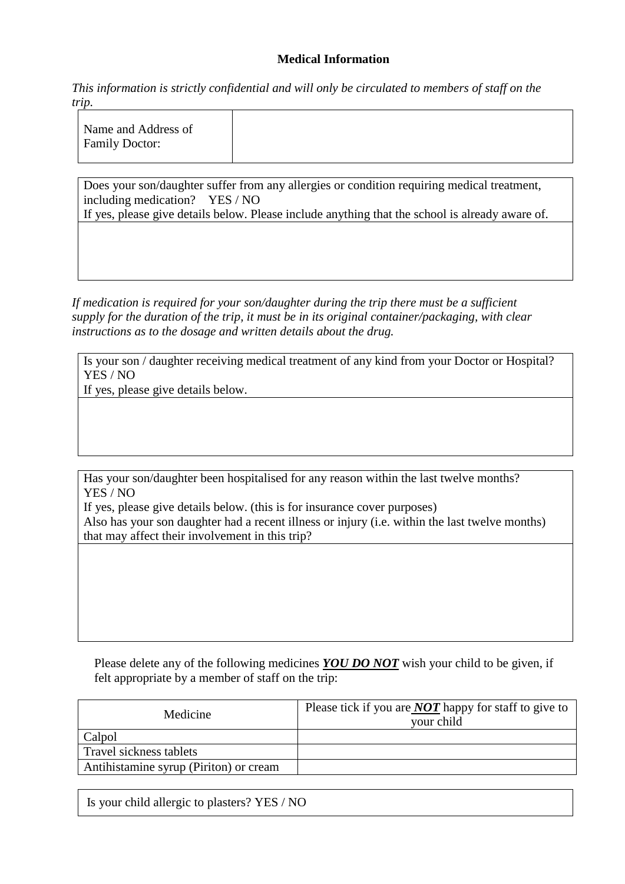## **Medical Information**

*This information is strictly confidential and will only be circulated to members of staff on the trip.*

Does your son/daughter suffer from any allergies or condition requiring medical treatment, including medication? YES / NO

If yes, please give details below. Please include anything that the school is already aware of.

*If medication is required for your son/daughter during the trip there must be a sufficient supply for the duration of the trip, it must be in its original container/packaging, with clear instructions as to the dosage and written details about the drug.* 

Is your son / daughter receiving medical treatment of any kind from your Doctor or Hospital? YES / NO

If yes, please give details below.

Has your son/daughter been hospitalised for any reason within the last twelve months? YES / NO

If yes, please give details below. (this is for insurance cover purposes) Also has your son daughter had a recent illness or injury (i.e. within the last twelve months) that may affect their involvement in this trip?

Please delete any of the following medicines *YOU DO NOT* wish your child to be given, if felt appropriate by a member of staff on the trip:

| Medicine                               | Please tick if you are <b>NOT</b> happy for staff to give to<br>your child |
|----------------------------------------|----------------------------------------------------------------------------|
| Calpol                                 |                                                                            |
| Travel sickness tablets                |                                                                            |
| Antihistamine syrup (Piriton) or cream |                                                                            |

Is your child allergic to plasters? YES / NO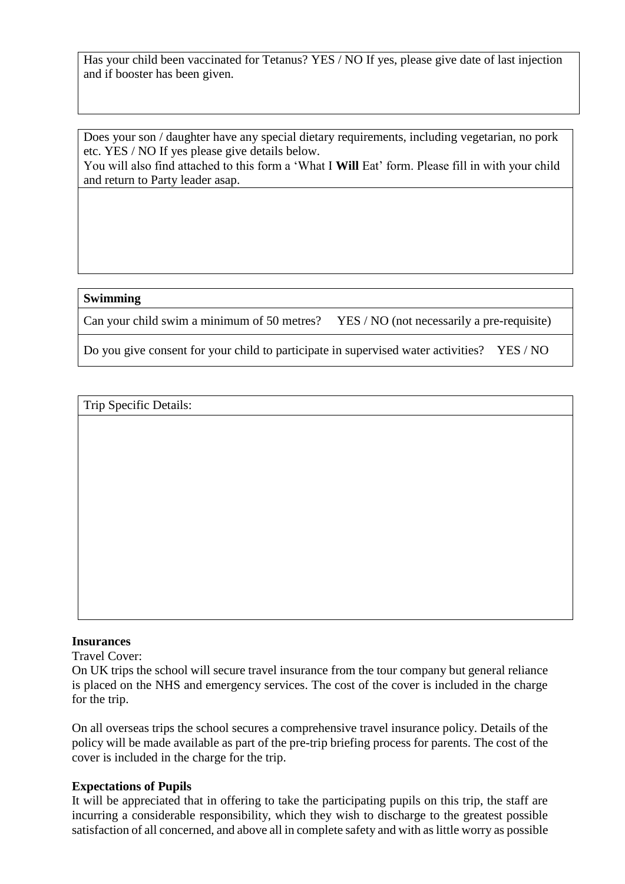Has your child been vaccinated for Tetanus? YES / NO If yes, please give date of last injection and if booster has been given.

Does your son / daughter have any special dietary requirements, including vegetarian, no pork etc. YES / NO If yes please give details below.

You will also find attached to this form a 'What I **Will** Eat' form. Please fill in with your child and return to Party leader asap.

#### **Swimming**

Can your child swim a minimum of 50 metres? YES / NO (not necessarily a pre-requisite)

Do you give consent for your child to participate in supervised water activities? YES / NO

Trip Specific Details:

#### **Insurances**

Travel Cover:

On UK trips the school will secure travel insurance from the tour company but general reliance is placed on the NHS and emergency services. The cost of the cover is included in the charge for the trip.

On all overseas trips the school secures a comprehensive travel insurance policy. Details of the policy will be made available as part of the pre-trip briefing process for parents. The cost of the cover is included in the charge for the trip.

#### **Expectations of Pupils**

It will be appreciated that in offering to take the participating pupils on this trip, the staff are incurring a considerable responsibility, which they wish to discharge to the greatest possible satisfaction of all concerned, and above all in complete safety and with as little worry as possible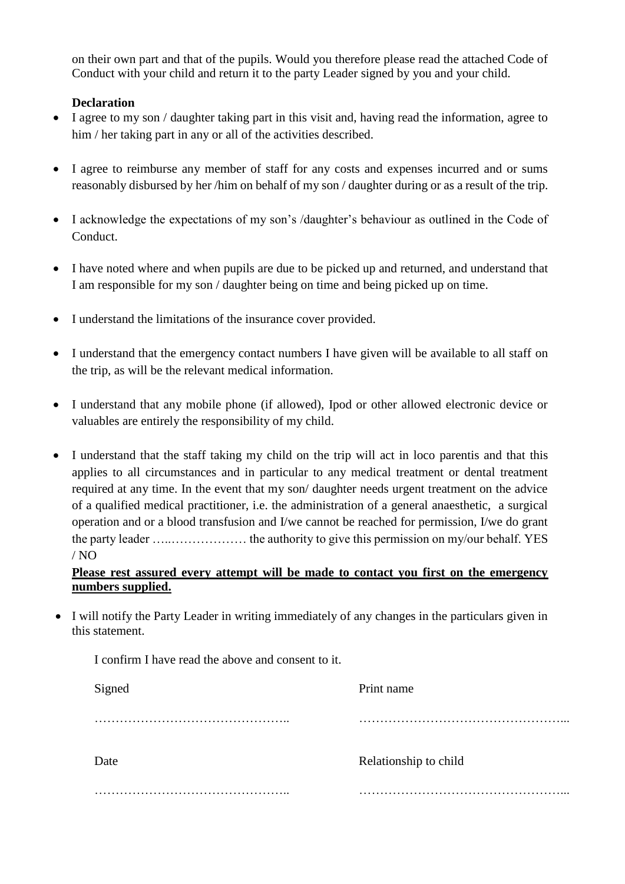on their own part and that of the pupils. Would you therefore please read the attached Code of Conduct with your child and return it to the party Leader signed by you and your child.

## **Declaration**

- I agree to my son / daughter taking part in this visit and, having read the information, agree to him / her taking part in any or all of the activities described.
- I agree to reimburse any member of staff for any costs and expenses incurred and or sums reasonably disbursed by her /him on behalf of my son / daughter during or as a result of the trip.
- I acknowledge the expectations of my son's /daughter's behaviour as outlined in the Code of Conduct.
- I have noted where and when pupils are due to be picked up and returned, and understand that I am responsible for my son / daughter being on time and being picked up on time.
- I understand the limitations of the insurance cover provided.
- I understand that the emergency contact numbers I have given will be available to all staff on the trip, as will be the relevant medical information.
- I understand that any mobile phone (if allowed), Ipod or other allowed electronic device or valuables are entirely the responsibility of my child.
- I understand that the staff taking my child on the trip will act in loco parentis and that this applies to all circumstances and in particular to any medical treatment or dental treatment required at any time. In the event that my son/ daughter needs urgent treatment on the advice of a qualified medical practitioner, i.e. the administration of a general anaesthetic, a surgical operation and or a blood transfusion and I/we cannot be reached for permission, I/we do grant the party leader …..……………… the authority to give this permission on my/our behalf. YES / NO

## **Please rest assured every attempt will be made to contact you first on the emergency numbers supplied.**

 I will notify the Party Leader in writing immediately of any changes in the particulars given in this statement.

| I confirm I have read the above and consent to it. |                       |  |
|----------------------------------------------------|-----------------------|--|
| Signed                                             | Print name            |  |
|                                                    | $\cdots$              |  |
| Date                                               | Relationship to child |  |
|                                                    |                       |  |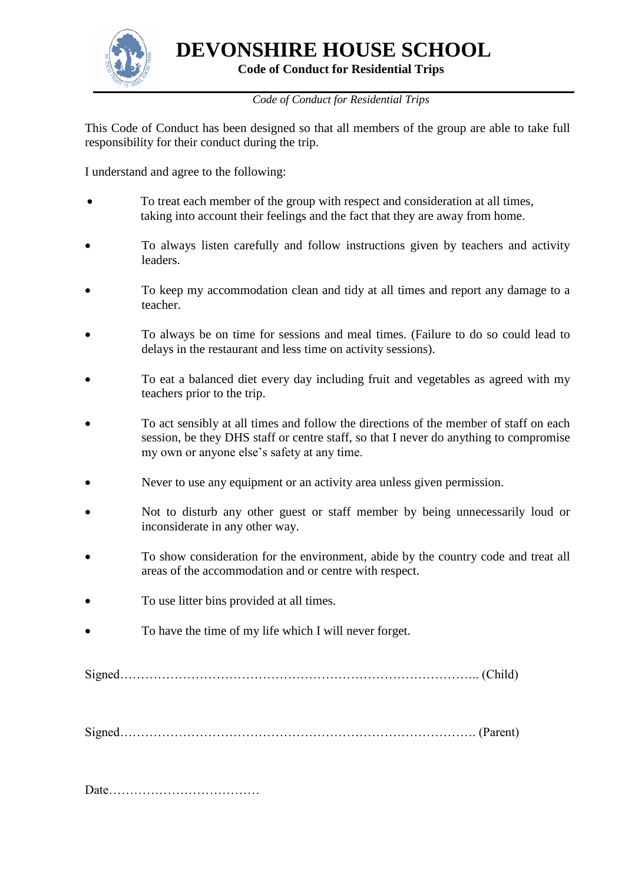

**Code of Conduct for Residential Trips**

*Code of Conduct for Residential Trips*

<span id="page-27-0"></span>This Code of Conduct has been designed so that all members of the group are able to take full responsibility for their conduct during the trip.

I understand and agree to the following:

- To treat each member of the group with respect and consideration at all times, taking into account their feelings and the fact that they are away from home.
- To always listen carefully and follow instructions given by teachers and activity leaders.
- To keep my accommodation clean and tidy at all times and report any damage to a teacher.
- To always be on time for sessions and meal times. (Failure to do so could lead to delays in the restaurant and less time on activity sessions).
- To eat a balanced diet every day including fruit and vegetables as agreed with my teachers prior to the trip.
- To act sensibly at all times and follow the directions of the member of staff on each session, be they DHS staff or centre staff, so that I never do anything to compromise my own or anyone else's safety at any time.
- Never to use any equipment or an activity area unless given permission.
- Not to disturb any other guest or staff member by being unnecessarily loud or inconsiderate in any other way.
- To show consideration for the environment, abide by the country code and treat all areas of the accommodation and or centre with respect.
- To use litter bins provided at all times.
- To have the time of my life which I will never forget.

Signed………………………………………………………………………….. (Child)

Signed…………………………………………………………………………. (Parent)

Date………………………………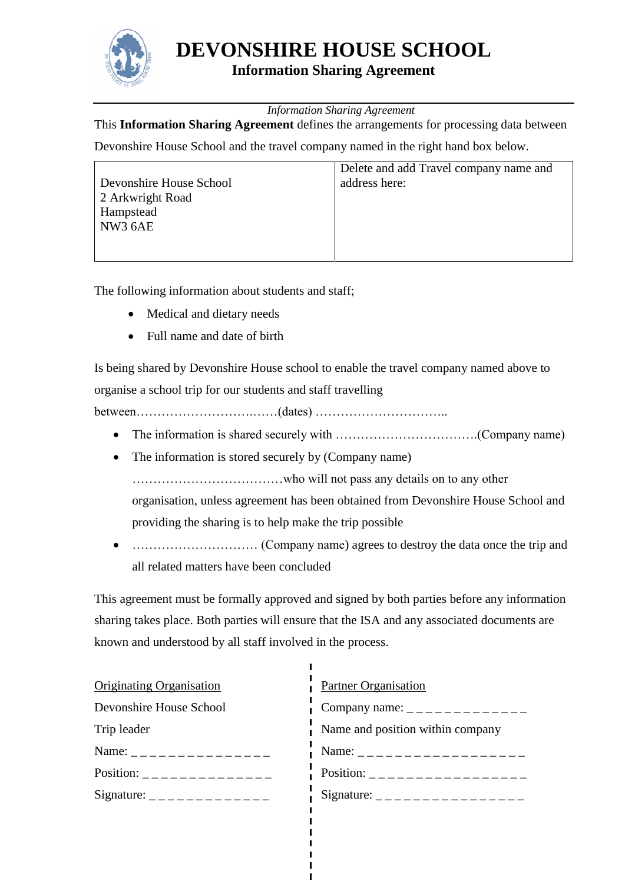

## **Information Sharing Agreement**

*Information Sharing Agreement*

<span id="page-28-0"></span>This **Information Sharing Agreement** defines the arrangements for processing data between

Devonshire House School and the travel company named in the right hand box below.

|                         | Delete and add Travel company name and |
|-------------------------|----------------------------------------|
| Devonshire House School | address here:                          |
| 2 Arkwright Road        |                                        |
| Hampstead               |                                        |
| NW3 6AE                 |                                        |
|                         |                                        |
|                         |                                        |

The following information about students and staff;

- Medical and dietary needs
- Full name and date of birth

Is being shared by Devonshire House school to enable the travel company named above to organise a school trip for our students and staff travelling

between……………………….……(dates) …………………………..

- The information is shared securely with …………………………….(Company name)
- The information is stored securely by (Company name)

………………………………who will not pass any details on to any other

organisation, unless agreement has been obtained from Devonshire House School and providing the sharing is to help make the trip possible

 ………………………… (Company name) agrees to destroy the data once the trip and all related matters have been concluded

This agreement must be formally approved and signed by both parties before any information sharing takes place. Both parties will ensure that the ISA and any associated documents are known and understood by all staff involved in the process.

| <b>Originating Organisation</b>                   | <b>Partner Organisation</b>                                                                                                                                                                                                                                                                                        |
|---------------------------------------------------|--------------------------------------------------------------------------------------------------------------------------------------------------------------------------------------------------------------------------------------------------------------------------------------------------------------------|
| Devonshire House School                           | Company name: $\frac{1}{2}$ $\frac{1}{2}$ $\frac{1}{2}$ $\frac{1}{2}$ $\frac{1}{2}$ $\frac{1}{2}$ $\frac{1}{2}$ $\frac{1}{2}$ $\frac{1}{2}$ $\frac{1}{2}$ $\frac{1}{2}$ $\frac{1}{2}$ $\frac{1}{2}$ $\frac{1}{2}$ $\frac{1}{2}$ $\frac{1}{2}$ $\frac{1}{2}$ $\frac{1}{2}$ $\frac{1}{2}$ $\frac{1}{2}$ $\frac{1}{2$ |
| Trip leader                                       | Name and position within company                                                                                                                                                                                                                                                                                   |
| Name: $\frac{1}{2}$ _ _ _ _ _ _ _ _ _ _ _ _ _ _ _ |                                                                                                                                                                                                                                                                                                                    |
| Position: _______________                         | Position: ___________________                                                                                                                                                                                                                                                                                      |
|                                                   | Signature: __________________                                                                                                                                                                                                                                                                                      |